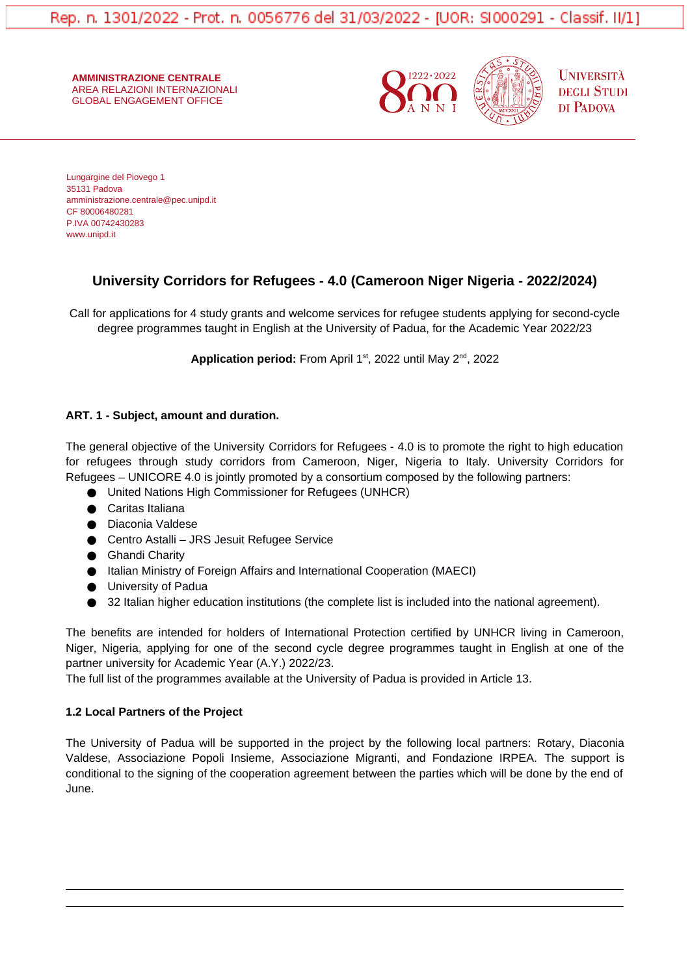**AMMINISTRAZIONE CENTRALE** AREA RELAZIONI INTERNAZIONALI GLOBAL ENGAGEMENT OFFICE





**UNIVERSITÀ DEGLI STUDI** DI PADOVA

Lungargine del Piovego 1 35131 Padova amministrazione.centrale@pec.unipd.it CF 80006480281 P.IVA 00742430283 www.unipd.it

# **University Corridors for Refugees - 4.0 (Cameroon Niger Nigeria - 2022/2024)**

Call for applications for 4 study grants and welcome services for refugee students applying for second-cycle degree programmes taught in English at the University of Padua, for the Academic Year 2022/23

Application period: From April 1<sup>st</sup>, 2022 until May 2<sup>nd</sup>, 2022

## **ART. 1 - Subject, amount and duration.**

The general objective of the University Corridors for Refugees - 4.0 is to promote the right to high education for refugees through study corridors from Cameroon, Niger, Nigeria to Italy. University Corridors for Refugees – UNICORE 4.0 is jointly promoted by a consortium composed by the following partners:

- United Nations High Commissioner for Refugees (UNHCR)
- Caritas Italiana
- Diaconia Valdese
- Centro Astalli JRS Jesuit Refugee Service
- Ghandi Charity
- Italian Ministry of Foreign Affairs and International Cooperation (MAECI)
- University of Padua
- 32 Italian higher education institutions (the complete list is included into the national agreement).

The benefits are intended for holders of International Protection certified by UNHCR living in Cameroon, Niger, Nigeria, applying for one of the second cycle degree programmes taught in English at one of the partner university for Academic Year (A.Y.) 2022/23.

The full list of the programmes available at the University of Padua is provided in Article 13.

### **1.2 Local Partners of the Project**

The University of Padua will be supported in the project by the following local partners: Rotary, Diaconia Valdese, Associazione Popoli Insieme, Associazione Migranti, and Fondazione IRPEA. The support is conditional to the signing of the cooperation agreement between the parties which will be done by the end of June.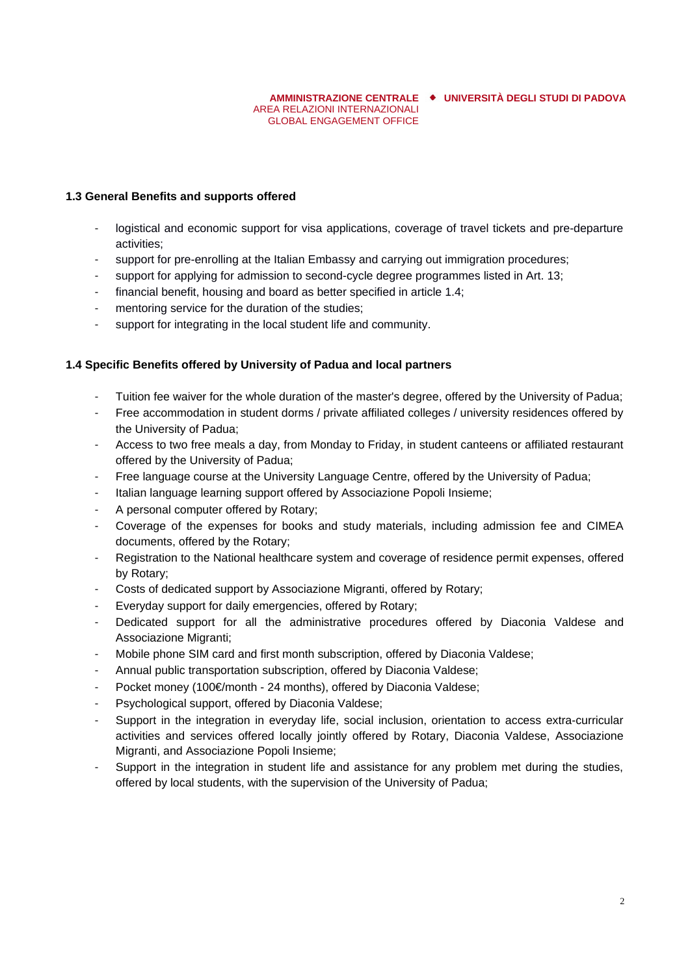#### **AMMINISTRAZIONE CENTRALE UNIVERSITÀ DEGLI STUDI DI PADOVA** AREA RELAZIONI INTERNAZIONALI GLOBAL ENGAGEMENT OFFICE

### **1.3 General Benefits and supports offered**

- logistical and economic support for visa applications, coverage of travel tickets and pre-departure activities;
- support for pre-enrolling at the Italian Embassy and carrying out immigration procedures;
- support for applying for admission to second-cycle degree programmes listed in Art. 13;
- financial benefit, housing and board as better specified in article 1.4;
- mentoring service for the duration of the studies;
- support for integrating in the local student life and community.

#### **1.4 Specific Benefits offered by University of Padua and local partners**

- Tuition fee waiver for the whole duration of the master's degree, offered by the University of Padua;
- Free accommodation in student dorms / private affiliated colleges / university residences offered by the University of Padua;
- Access to two free meals a day, from Monday to Friday, in student canteens or affiliated restaurant offered by the University of Padua;
- Free language course at the University Language Centre, offered by the University of Padua;
- Italian language learning support offered by Associazione Popoli Insieme;
- A personal computer offered by Rotary;
- Coverage of the expenses for books and study materials, including admission fee and CIMEA documents, offered by the Rotary;
- Registration to the National healthcare system and coverage of residence permit expenses, offered by Rotary;
- Costs of dedicated support by Associazione Migranti, offered by Rotary;
- Everyday support for daily emergencies, offered by Rotary;
- Dedicated support for all the administrative procedures offered by Diaconia Valdese and Associazione Migranti;
- Mobile phone SIM card and first month subscription, offered by Diaconia Valdese;
- Annual public transportation subscription, offered by Diaconia Valdese;
- Pocket money (100€/month 24 months), offered by Diaconia Valdese;
- Psychological support, offered by Diaconia Valdese;
- Support in the integration in everyday life, social inclusion, orientation to access extra-curricular activities and services offered locally jointly offered by Rotary, Diaconia Valdese, Associazione Migranti, and Associazione Popoli Insieme;
- Support in the integration in student life and assistance for any problem met during the studies, offered by local students, with the supervision of the University of Padua;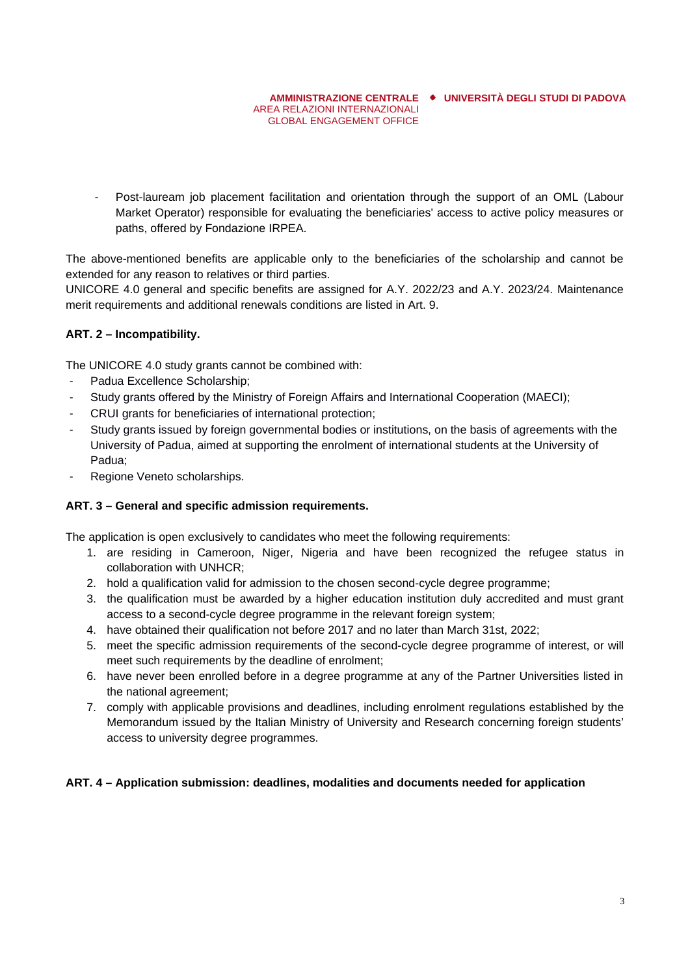#### **AMMINISTRAZIONE CENTRALE UNIVERSITÀ DEGLI STUDI DI PADOVA** AREA RELAZIONI INTERNAZIONALI GLOBAL ENGAGEMENT OFFICE

- Post-lauream job placement facilitation and orientation through the support of an OML (Labour Market Operator) responsible for evaluating the beneficiaries' access to active policy measures or paths, offered by Fondazione IRPEA.

The above-mentioned benefits are applicable only to the beneficiaries of the scholarship and cannot be extended for any reason to relatives or third parties.

UNICORE 4.0 general and specific benefits are assigned for A.Y. 2022/23 and A.Y. 2023/24. Maintenance merit requirements and additional renewals conditions are listed in Art. 9.

## **ART. 2 – Incompatibility.**

The UNICORE 4.0 study grants cannot be combined with:

- Padua Excellence Scholarship;
- Study grants offered by the Ministry of Foreign Affairs and International Cooperation (MAECI);
- CRUI grants for beneficiaries of international protection;
- Study grants issued by foreign governmental bodies or institutions, on the basis of agreements with the University of Padua, aimed at supporting the enrolment of international students at the University of Padua;
- Regione Veneto scholarships.

### **ART. 3 – General and specific admission requirements.**

The application is open exclusively to candidates who meet the following requirements:

- 1. are residing in Cameroon, Niger, Nigeria and have been recognized the refugee status in collaboration with UNHCR;
- 2. hold a qualification valid for admission to the chosen second-cycle degree programme;
- 3. the qualification must be awarded by a higher education institution duly accredited and must grant access to a second-cycle degree programme in the relevant foreign system;
- 4. have obtained their qualification not before 2017 and no later than March 31st, 2022;
- 5. meet the specific admission requirements of the second-cycle degree programme of interest, or will meet such requirements by the deadline of enrolment;
- 6. have never been enrolled before in a degree programme at any of the Partner Universities listed in the national agreement;
- 7. comply with applicable provisions and deadlines, including enrolment regulations established by the Memorandum issued by the Italian Ministry of University and Research concerning foreign students' access to university degree programmes.

### **ART. 4 – Application submission: deadlines, modalities and documents needed for application**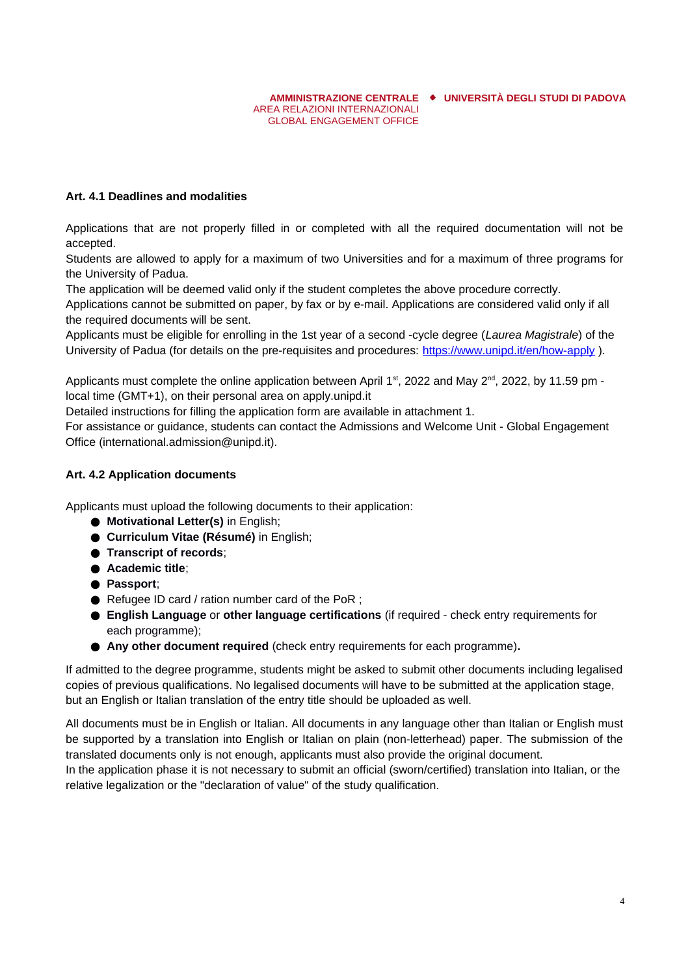**AMMINISTRAZIONE CENTRALE UNIVERSITÀ DEGLI STUDI DI PADOVA** AREA RELAZIONI INTERNAZIONALI GLOBAL ENGAGEMENT OFFICE

### **Art. 4.1 Deadlines and modalities**

Applications that are not properly filled in or completed with all the required documentation will not be accepted.

Students are allowed to apply for a maximum of two Universities and for a maximum of three programs for the University of Padua.

The application will be deemed valid only if the student completes the above procedure correctly.

Applications cannot be submitted on paper, by fax or by e-mail. Applications are considered valid only if all the required documents will be sent.

Applicants must be eligible for enrolling in the 1st year of a second -cycle degree (*Laurea Magistrale*) of the University of Padua (for details on the pre-requisites and procedures: <https://www.unipd.it/en/how-apply> ).

Applicants must complete the online application between April  $1<sup>st</sup>$ , 2022 and May  $2<sup>nd</sup>$ , 2022, by 11.59 pm local time (GMT+1), on their personal area on apply.unipd.it

Detailed instructions for filling the application form are available in attachment 1.

For assistance or guidance, students can contact the Admissions and Welcome Unit - Global Engagement Office (international.admission@unipd.it).

### **Art. 4.2 Application documents**

Applicants must upload the following documents to their application:

- **Motivational Letter(s)** in English;
- **Curriculum Vitae (Résumé)** in English;
- **Transcript of records**;
- **Academic title**;
- **Passport**;
- Refugee ID card / ration number card of the PoR ;
- **English Language** or **other language certifications** (if required check entry requirements for each programme);
- **Any other document required** (check entry requirements for each programme)**.**

If admitted to the degree programme, students might be asked to submit other documents including legalised copies of previous qualifications. No legalised documents will have to be submitted at the application stage, but an English or Italian translation of the entry title should be uploaded as well.

All documents must be in English or Italian. All documents in any language other than Italian or English must be supported by a translation into English or Italian on plain (non-letterhead) paper. The submission of the translated documents only is not enough, applicants must also provide the original document.

In the application phase it is not necessary to submit an official (sworn/certified) translation into Italian, or the relative legalization or the "declaration of value" of the study qualification.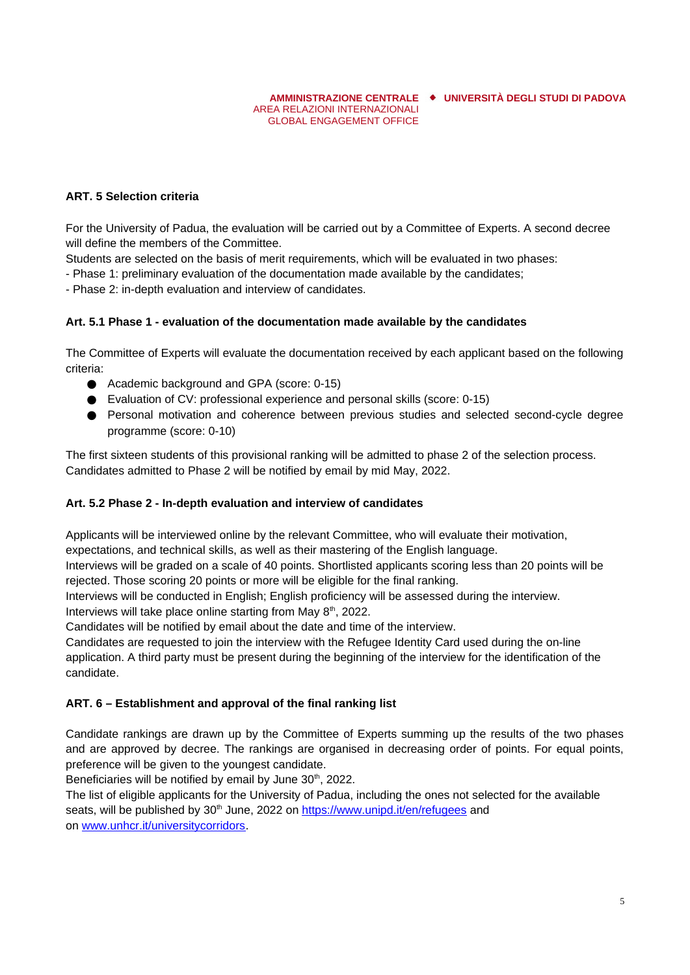**AMMINISTRAZIONE CENTRALE UNIVERSITÀ DEGLI STUDI DI PADOVA** AREA RELAZIONI INTERNAZIONALI

## **ART. 5 Selection criteria**

For the University of Padua, the evaluation will be carried out by a Committee of Experts. A second decree will define the members of the Committee.

GLOBAL ENGAGEMENT OFFICE

Students are selected on the basis of merit requirements, which will be evaluated in two phases:

- Phase 1: preliminary evaluation of the documentation made available by the candidates;

- Phase 2: in-depth evaluation and interview of candidates.

### **Art. 5.1 Phase 1 - evaluation of the documentation made available by the candidates**

The Committee of Experts will evaluate the documentation received by each applicant based on the following criteria:

- Academic background and GPA (score: 0-15)
- Evaluation of CV: professional experience and personal skills (score: 0-15)
- Personal motivation and coherence between previous studies and selected second-cycle degree programme (score: 0-10)

The first sixteen students of this provisional ranking will be admitted to phase 2 of the selection process. Candidates admitted to Phase 2 will be notified by email by mid May, 2022.

#### **Art. 5.2 Phase 2 - In-depth evaluation and interview of candidates**

Applicants will be interviewed online by the relevant Committee, who will evaluate their motivation, expectations, and technical skills, as well as their mastering of the English language.

Interviews will be graded on a scale of 40 points. Shortlisted applicants scoring less than 20 points will be rejected. Those scoring 20 points or more will be eligible for the final ranking.

Interviews will be conducted in English; English proficiency will be assessed during the interview.

Interviews will take place online starting from May 8<sup>th</sup>, 2022.

Candidates will be notified by email about the date and time of the interview.

Candidates are requested to join the interview with the Refugee Identity Card used during the on-line application. A third party must be present during the beginning of the interview for the identification of the candidate.

### **ART. 6 – Establishment and approval of the final ranking list**

Candidate rankings are drawn up by the Committee of Experts summing up the results of the two phases and are approved by decree. The rankings are organised in decreasing order of points. For equal points, preference will be given to the youngest candidate.

Beneficiaries will be notified by email by June  $30<sup>th</sup>$ , 2022.

The list of eligible applicants for the University of Padua, including the ones not selected for the available seats, will be published by 30<sup>th</sup> June, 2022 on <https://www.unipd.it/en/refugees>and on [www.unhcr.it/universitycorridors.](https://eur02.safelinks.protection.outlook.com/?url=http%3A%2F%2Fwww.unhcr.it%2Funiversitycorridors&data=02%7C01%7Cmolinarb@unhcr.org%7C5954f9f7e4854742c5a308d7d7c58f5c%7Ce5c37981666441348a0c6543d2af80be%7C0%7C0%7C637215116111181174&sdata=LZowg%2FU5380rqHsR7ZjKFXD3anJ9UiVDk0Fj5Nl%2BUPE%3D&reserved=0)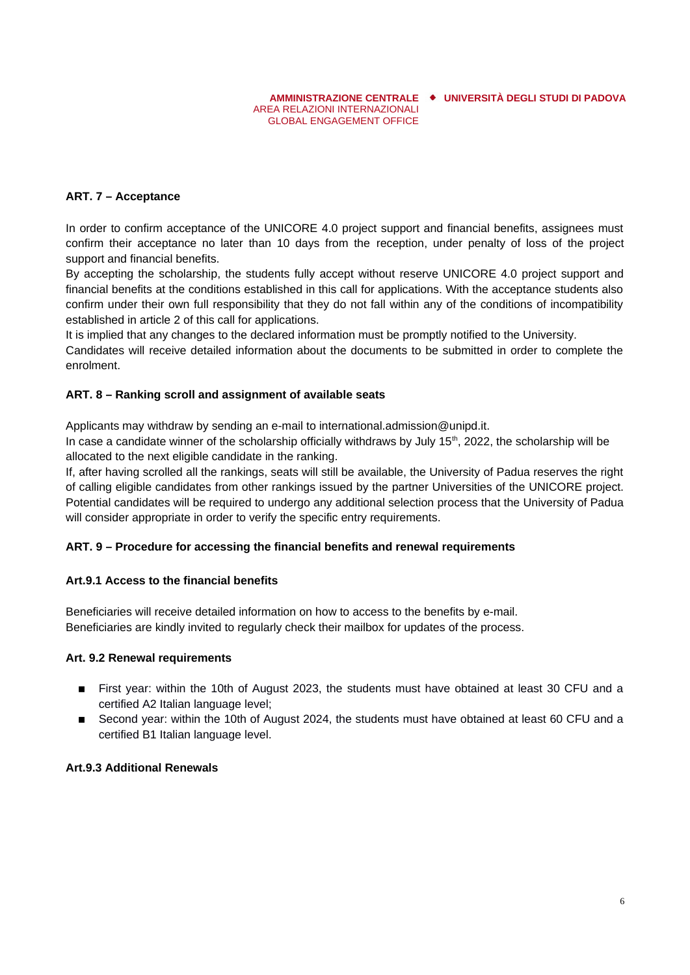**AMMINISTRAZIONE CENTRALE UNIVERSITÀ DEGLI STUDI DI PADOVA**

## **ART. 7 – Acceptance**

In order to confirm acceptance of the UNICORE 4.0 project support and financial benefits, assignees must confirm their acceptance no later than 10 days from the reception, under penalty of loss of the project support and financial benefits.

AREA RELAZIONI INTERNAZIONALI GLOBAL ENGAGEMENT OFFICE

By accepting the scholarship, the students fully accept without reserve UNICORE 4.0 project support and financial benefits at the conditions established in this call for applications. With the acceptance students also confirm under their own full responsibility that they do not fall within any of the conditions of incompatibility established in article 2 of this call for applications.

It is implied that any changes to the declared information must be promptly notified to the University.

Candidates will receive detailed information about the documents to be submitted in order to complete the enrolment.

## **ART. 8 – Ranking scroll and assignment of available seats**

Applicants may withdraw by sending an e-mail to international.admission@unipd.it.

In case a candidate winner of the scholarship officially withdraws by July 15<sup>th</sup>, 2022, the scholarship will be allocated to the next eligible candidate in the ranking.

If, after having scrolled all the rankings, seats will still be available, the University of Padua reserves the right of calling eligible candidates from other rankings issued by the partner Universities of the UNICORE project. Potential candidates will be required to undergo any additional selection process that the University of Padua will consider appropriate in order to verify the specific entry requirements.

# **ART. 9 – Procedure for accessing the financial benefits and renewal requirements**

### **Art.9.1 Access to the financial benefits**

Beneficiaries will receive detailed information on how to access to the benefits by e-mail. Beneficiaries are kindly invited to regularly check their mailbox for updates of the process.

### **Art. 9.2 Renewal requirements**

- **E** First year: within the 10th of August 2023, the students must have obtained at least 30 CFU and a certified A2 Italian language level;
- $\blacksquare$  Second year: within the 10th of August 2024, the students must have obtained at least 60 CFU and a certified B1 Italian language level.

### **Art.9.3 Additional Renewals**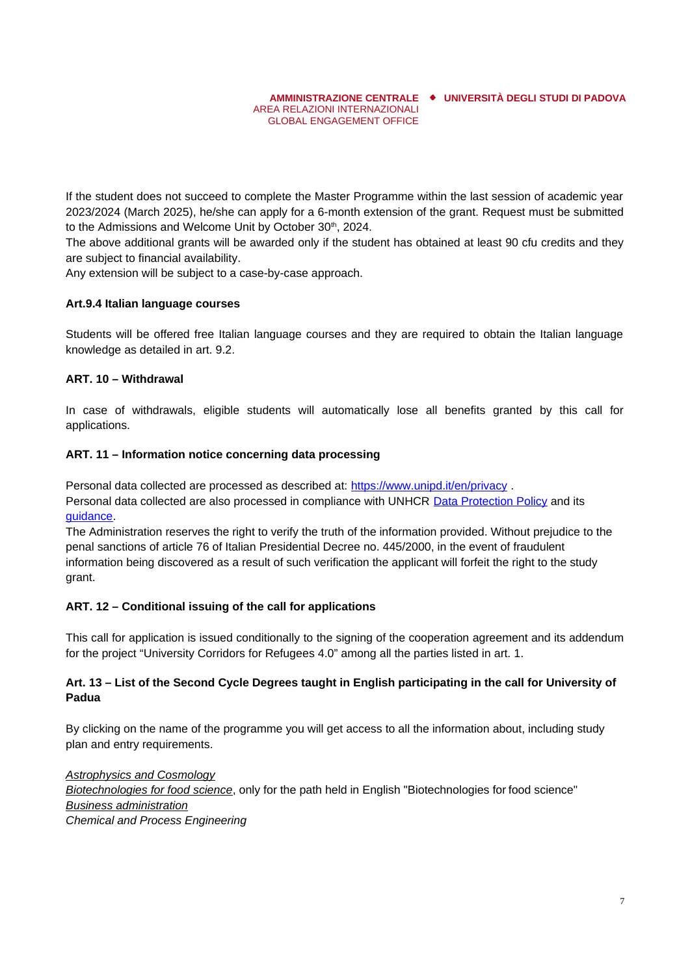If the student does not succeed to complete the Master Programme within the last session of academic year 2023/2024 (March 2025), he/she can apply for a 6-month extension of the grant. Request must be submitted to the Admissions and Welcome Unit by October 30<sup>th</sup>, 2024.

The above additional grants will be awarded only if the student has obtained at least 90 cfu credits and they are subject to financial availability.

Any extension will be subject to a case-by-case approach.

### **Art.9.4 Italian language courses**

Students will be offered free Italian language courses and they are required to obtain the Italian language knowledge as detailed in art. 9.2.

### **ART. 10 – Withdrawal**

In case of withdrawals, eligible students will automatically lose all benefits granted by this call for applications.

### **ART. 11 – Information notice concerning data processing**

Personal data collected are processed as described at: <https://www.unipd.it/en/privacy> . Personal data collected are also processed in compliance with UNHCR [Data Protection Policy](https://www.refworld.org/docid/55643c1d4.html) and its [guidance](https://www.refworld.org/docid/5b360f4d4.html).

The Administration reserves the right to verify the truth of the information provided. Without prejudice to the penal sanctions of article 76 of Italian Presidential Decree no. 445/2000, in the event of fraudulent information being discovered as a result of such verification the applicant will forfeit the right to the study grant.

### **ART. 12 – Conditional issuing of the call for applications**

This call for application is issued conditionally to the signing of the cooperation agreement and its addendum for the project "University Corridors for Refugees 4.0" among all the parties listed in art. 1.

### **Art. 13 – List of the Second Cycle Degrees taught in English participating in the call for University of Padua**

By clicking on the name of the programme you will get access to all the information about, including study plan and entry requirements.

*[Astrophysics and Cosmology](https://www.unipd.it/en/educational-offer/second-cycle-degree/science?tipo=LM&scuola=SC&ordinamento=2019&key=SC2490&cg=science) [Biotechnologies for food science](https://www.unipd.it/en/educational-offer/second-cycle-degree/agricultural-sciences-and-veterinary-medicine?tipo=LM&scuola=AV&ordinamento=2022&key=AV2644&cg=agricultural-forestry-and-food-sciences)*, only for the path held in English "Biotechnologies for food science" *[Business administration](https://www.unipd.it/en/educational-offer/second-cycle-degree/economics-and-political-science?tipo=LM&scuola=EP&ordinamento=2017&key=EP2423&cg=economics-finance-business-management) Chemical and Process Engineering*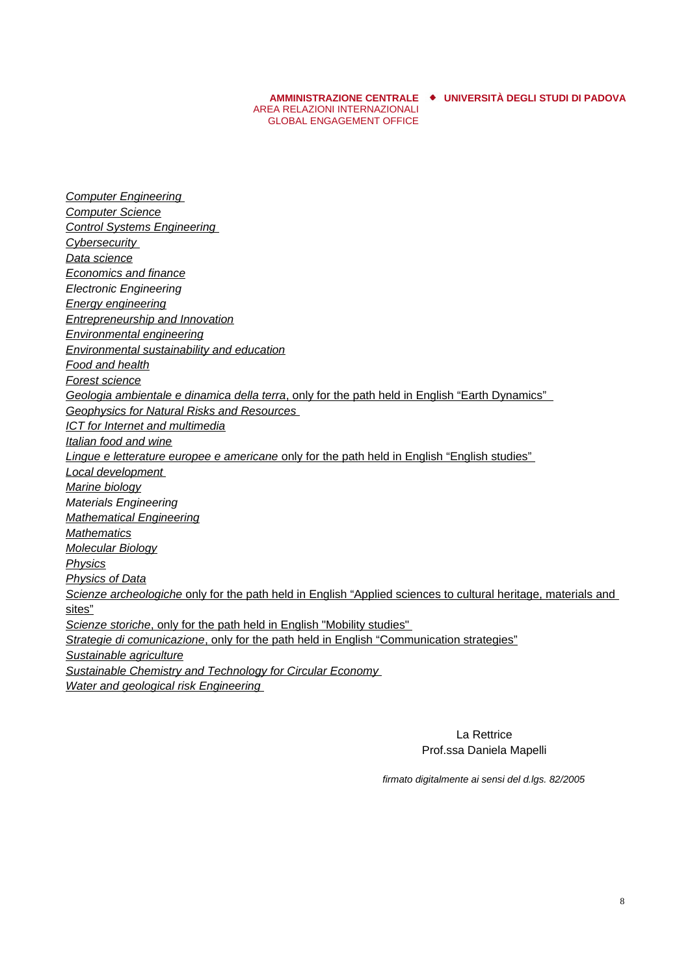AREA RELAZIONI INTERNAZIONALI GLOBAL ENGAGEMENT OFFICE

**AMMINISTRAZIONE CENTRALE UNIVERSITÀ DEGLI STUDI DI PADOVA**

 *[Computer Engineering](https://www.unipd.it/en/educational-offer/second-cycle-degree/engineering?tipo=LM&scuola=IN&ordinamento=2020&key=IN2547&cg=engineering) [Computer Science](https://www.unipd.it/en/educational-offer/second-cycle-degree/science?tipo=LM&scuola=SC&ordinamento=2021&key=SC2598&cg=engineering)  [Control Systems Engineering](https://www.unipd.it/en/educational-offer/second-cycle-degree/engineering?tipo=LM&scuola=IN&ordinamento=2021&key=IN2546&cg=engineering)  [Cybersecurity](https://www.unipd.it/en/educational-offer/second-cycle-degree/science?tipo=LM&scuola=SC&ordinamento=2020&key=SC2542&cg=engineering) [Data science](https://www.unipd.it/en/educational-offer/second-cycle-degree/science?tipo=LM&scuola=SC&ordinamento=2017&key=SC2377&cg=engineering) [Economics and finance](https://www.unipd.it/en/educational-offer/second-cycle-degree/economics-and-political-science?tipo=LM&scuola=EP&ordinamento=2017&key=EP2422&cg=economics-finance-business-management) Electronic Engineering [Energy engineering](https://www.unipd.it/en/educational-offer/second-cycle-degree/engineering?tipo=LM&scuola=IN&ordinamento=2021&key=IN2595&cg=engineering) [Entrepreneurship and Innovation](https://www.unipd.it/en/educational-offer/second-cycle-degree/economics-and-political-science?tipo=LM&scuola=EP&ordinamento=2017&key=EP2372&cg=economics-finance-business-management) [Environmental engineering](https://www.unipd.it/en/educational-offer/second-cycle-degree/engineering?tipo=LM&scuola=IN&ordinamento=2020&key=IN1825&cg=engineering) [Environmental sustainability and education](https://www.unipd.it/en/educational-offer/second-cycle-degree/science?tipo=LM&scuola=SC&ordinamento=2022&key=SC2650&cg=agricultural-forestry-and-food-sciences) [Food and health](https://www.unipd.it/en/educational-offer/second-cycle-degree/agricultural-sciences-and-veterinary-medicine?tipo=LM&scuola=AV&ordinamento=2021&key=AV2585&cg=agricultural-forestry-and-food-sciences) [Forest science](https://www.unipd.it/en/educational-offer/second-cycle-degree/agricultural-sciences-and-veterinary-medicine?tipo=LM&scuola=AV&ordinamento=2017&key=AV2091&cg=agricultural-forestry-and-food-sciences) Geologia ambientale e dinamica della terra* [, only for the path held in English "Earth Dynamics"](https://www.unipd.it/en/educational-offer/second-cycle-degree/science?tipo=LM&scuola=SC&key=8641&cg=agricultural-forestry-and-food-sciences)  *[Geophysics for Natural Risks and Resources](https://www.unipd.it/en/educational-offer/second-cycle-degree/science?tipo=LM&scuola=SC&ordinamento=2020&key=SC2543&cg=science) [ICT for Internet and multimedia](https://www.unipd.it/en/educational-offer/second-cycle-degree/engineering?tipo=LM&scuola=IN&ordinamento=2019&key=IN2371&cg=engineering) [Italian food and wine](https://www.unipd.it/en/educational-offer/second-cycle-degree/agricultural-sciences-and-veterinary-medicine?tipo=LM&scuola=AV&ordinamento=2015&key=AV2190&cg=agricultural-forestry-and-food-sciences) Lingue e letterature europee e americane* [only for the path held in English "English studies"](https://www.unipd.it/en/educational-offer/second-cycle-degree/human-and-social-sciences-and-cultural-heritage?tipo=LM&scuola=SU&key=8277&cg=humanities-and-language-studies)  *[Local development](https://www.unipd.it/en/educational-offer/second-cycle-degree/human-and-social-sciences-and-cultural-heritage?tipo=LM&scuola=SU&ordinamento=2020&key=SU2446&cg=economics-finance-business-management) [Marine biology](https://www.unipd.it/en/educational-offer/second-cycle-degree/science?tipo=LM&scuola=SC&ordinamento=2021&key=SC2596&cg=science) Materials Engineering [Mathematical Engineering](https://www.unipd.it/en/educational-offer/second-cycle-degree/engineering?tipo=LM&scuola=IN&ordinamento=2020&key=IN2551&cg=engineering) [Mathematics](https://www.unipd.it/en/educational-offer/second-cycle-degree/science?tipo=LM&scuola=SC&ordinamento=2022&key=SC2651&cg=science) [Molecular Biology](https://www.unipd.it/en/educational-offer/second-cycle-degree/science?tipo=LM&scuola=SC&ordinamento=2020&key=SC2445&cg=science) [Physics](https://www.unipd.it/en/educational-offer/second-cycle-degree/science?tipo=LM&scuola=SC&ordinamento=2021&key=SC2382&cg=science) [Physics of Data](https://www.unipd.it/en/educational-offer/second-cycle-degree/science?tipo=LM&scuola=SC&ordinamento=2018&key=SC2443&cg=science) Scienze archeologiche* [only for the path held in English "Applied sciences to cultural heritage, materials and](https://www.unipd.it/en/educational-offer/second-cycle-degree/human-and-social-sciences-and-cultural-heritage?tipo=LM&scuola=SU&key=8434&cg=humanities-and-language-studies)  [sites"](https://www.unipd.it/en/educational-offer/second-cycle-degree/human-and-social-sciences-and-cultural-heritage?tipo=LM&scuola=SU&key=8434&cg=humanities-and-language-studies) *<u>Scienze storiche[, only for the path held in English "Mobility studies"](https://www.unipd.it/en/educational-offer/second-cycle-degree/human-and-social-sciences-and-cultural-heritage?tipo=LM&scuola=SU&key=6555&cg=humanities-and-language-studies)</u> Strategie di comunicazione* [, only for the path held in English "Communication strategies"](https://www.unipd.it/en/educational-offer/second-cycle-degree/human-and-social-sciences-and-cultural-heritage?tipo=LM&scuola=SU&key=8407&cg=humanities-and-language-studies) *[Sustainable agriculture](https://www.unipd.it/en/educational-offer/second-cycle-degree/agricultural-sciences-and-veterinary-medicine?tipo=LM&scuola=AV&ordinamento=2016&key=AV2293&cg=agricultural-forestry-and-food-sciences)  [Sustainable Chemistry and Technology for Circular Economy](https://www.unipd.it/en/educational-offer/second-cycle-degree/science?tipo=LM&scuola=SC&ordinamento=2021&key=SC2590&cg=science) [Water and geological risk Engineering](https://www.unipd.it/en/educational-offer/second-cycle-degree/engineering?tipo=LM&scuola=SI&ordinamento=2021&key=IN2587&cg=engineering)*

> La Rettrice Prof.ssa Daniela Mapelli

*firmato digitalmente ai sensi del d.lgs. 82/2005*